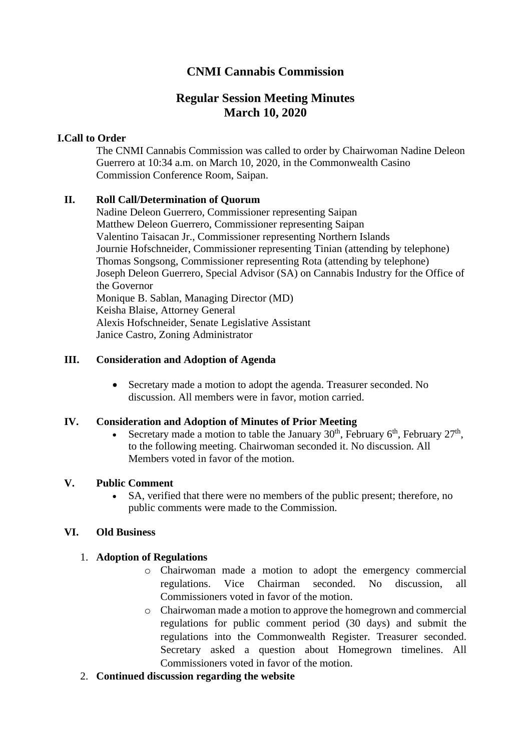# **CNMI Cannabis Commission**

# **Regular Session Meeting Minutes March 10, 2020**

#### **I.Call to Order**

The CNMI Cannabis Commission was called to order by Chairwoman Nadine Deleon Guerrero at 10:34 a.m. on March 10, 2020, in the Commonwealth Casino Commission Conference Room, Saipan.

## **II. Roll Call/Determination of Quorum**

Nadine Deleon Guerrero, Commissioner representing Saipan Matthew Deleon Guerrero, Commissioner representing Saipan Valentino Taisacan Jr., Commissioner representing Northern Islands Journie Hofschneider, Commissioner representing Tinian (attending by telephone) Thomas Songsong, Commissioner representing Rota (attending by telephone) Joseph Deleon Guerrero, Special Advisor (SA) on Cannabis Industry for the Office of the Governor Monique B. Sablan, Managing Director (MD) Keisha Blaise, Attorney General Alexis Hofschneider, Senate Legislative Assistant Janice Castro, Zoning Administrator

#### **III. Consideration and Adoption of Agenda**

• Secretary made a motion to adopt the agenda. Treasurer seconded. No discussion. All members were in favor, motion carried.

#### **IV. Consideration and Adoption of Minutes of Prior Meeting**

• Secretary made a motion to table the January  $30<sup>th</sup>$ , February  $6<sup>th</sup>$ , February  $27<sup>th</sup>$ , to the following meeting. Chairwoman seconded it. No discussion. All Members voted in favor of the motion.

#### **V. Public Comment**

• SA, verified that there were no members of the public present; therefore, no public comments were made to the Commission.

#### **VI. Old Business**

#### 1. **Adoption of Regulations**

- o Chairwoman made a motion to adopt the emergency commercial regulations. Vice Chairman seconded. No discussion, all Commissioners voted in favor of the motion.
- o Chairwoman made a motion to approve the homegrown and commercial regulations for public comment period (30 days) and submit the regulations into the Commonwealth Register. Treasurer seconded. Secretary asked a question about Homegrown timelines. All Commissioners voted in favor of the motion.
- 2. **Continued discussion regarding the website**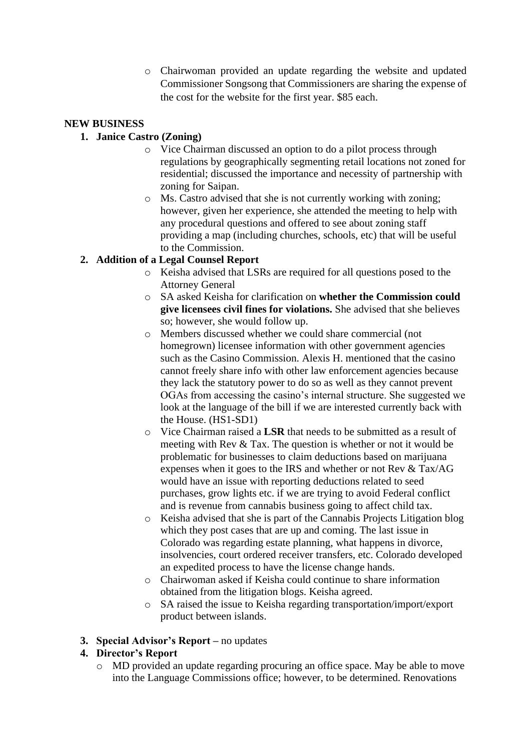o Chairwoman provided an update regarding the website and updated Commissioner Songsong that Commissioners are sharing the expense of the cost for the website for the first year. \$85 each.

## **NEW BUSINESS**

### **1. Janice Castro (Zoning)**

- o Vice Chairman discussed an option to do a pilot process through regulations by geographically segmenting retail locations not zoned for residential; discussed the importance and necessity of partnership with zoning for Saipan.
- o Ms. Castro advised that she is not currently working with zoning; however, given her experience, she attended the meeting to help with any procedural questions and offered to see about zoning staff providing a map (including churches, schools, etc) that will be useful to the Commission.

# **2. Addition of a Legal Counsel Report**

- o Keisha advised that LSRs are required for all questions posed to the Attorney General
- o SA asked Keisha for clarification on **whether the Commission could give licensees civil fines for violations.** She advised that she believes so; however, she would follow up.
- o Members discussed whether we could share commercial (not homegrown) licensee information with other government agencies such as the Casino Commission. Alexis H. mentioned that the casino cannot freely share info with other law enforcement agencies because they lack the statutory power to do so as well as they cannot prevent OGAs from accessing the casino's internal structure. She suggested we look at the language of the bill if we are interested currently back with the House. (HS1-SD1)
- o Vice Chairman raised a **LSR** that needs to be submitted as a result of meeting with Rev & Tax. The question is whether or not it would be problematic for businesses to claim deductions based on marijuana expenses when it goes to the IRS and whether or not Rev & Tax/AG would have an issue with reporting deductions related to seed purchases, grow lights etc. if we are trying to avoid Federal conflict and is revenue from cannabis business going to affect child tax.
- o Keisha advised that she is part of the Cannabis Projects Litigation blog which they post cases that are up and coming. The last issue in Colorado was regarding estate planning, what happens in divorce, insolvencies, court ordered receiver transfers, etc. Colorado developed an expedited process to have the license change hands.
- o Chairwoman asked if Keisha could continue to share information obtained from the litigation blogs. Keisha agreed.
- o SA raised the issue to Keisha regarding transportation/import/export product between islands.

#### **3. Special Advisor's Report –** no updates

#### **4. Director's Report**

o MD provided an update regarding procuring an office space. May be able to move into the Language Commissions office; however, to be determined. Renovations